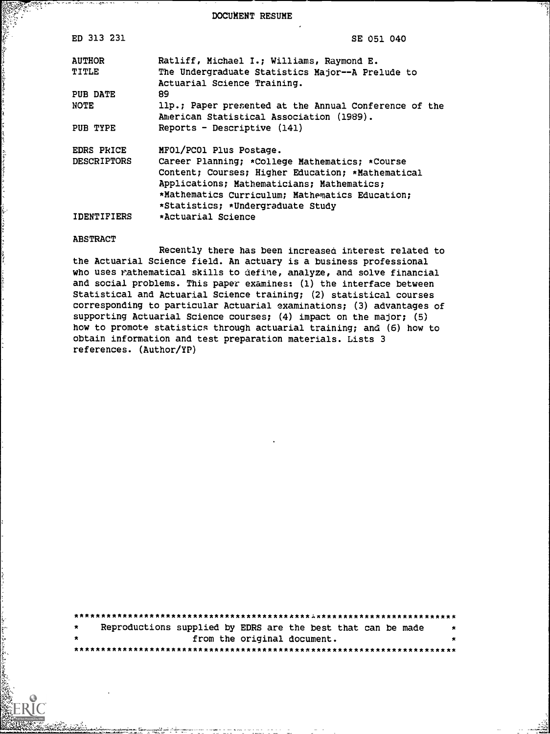DOCUMENT RESUME

| ED 313 231         | SE 051 040                                            |
|--------------------|-------------------------------------------------------|
| <b>AUTHOR</b>      | Ratliff, Michael I.; Williams, Raymond E.             |
| TITLE              | The Undergraduate Statistics Major--A Prelude to      |
|                    | Actuarial Science Training.                           |
| PUB DATE           | 89                                                    |
| NOTE               | llp.; Paper presented at the Annual Conference of the |
|                    | American Statistical Association (1989).              |
| PUB TYPE           | $Reports$ - Descriptive $(141)$                       |
| <b>EDRS PRICE</b>  | MFO1/PCO1 Plus Postage.                               |
| <b>DESCRIPTORS</b> | Career Planning; *College Mathematics; *Course        |
|                    | Content; Courses; Higher Education; *Mathematical     |
|                    | Applications; Mathematicians; Mathematics;            |
|                    | *Mathematics Curriculum; Mathematics Education;       |
|                    | *Statistics; *Undergraduate Study                     |
| IDENTIFIERS        | *Actuarial Science                                    |

#### ABSTRACT

Recently there has been increased interest related to the Actuarial Science field. An actuary is a business professional who uses rathematical skills to define, analyze, and solve financial and social problems. This paper examines: (1) the interface between Statistical and Actuarial Science training; (2) statistical courses corresponding to particular Actuarial examinations; (3) advantages of supporting Actuarial Science courses; (4) impact on the major; (5) how to promote statistics through actuarial training; and (6) how to obtain information and test preparation materials. Lists 3 references. (Author/YP)

| $\star$ |  | Reproductions supplied by EDRS are the best that can be made | $\star$ |
|---------|--|--------------------------------------------------------------|---------|
| $\star$ |  | from the original document.                                  |         |
|         |  |                                                              |         |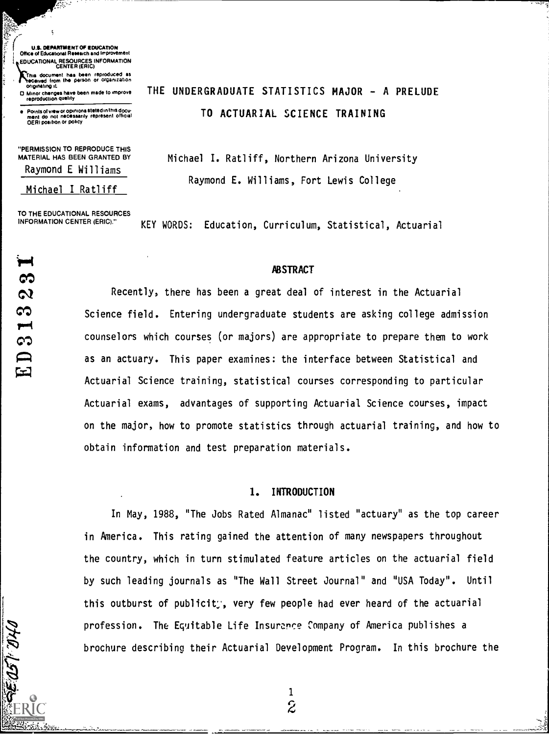U.& DEPARTMENT OF EDUCATION Office of Educational Research and Improvement **EDUCATIONAL RESOURCES INFORMATION<br>CENTER (ERIC)** 

€¥7-

Ŕ

This document has been reproduced as<br>feceived from the person or organization<br>originating it **community of the person of the person of the person** 

D. Minor chenges have been made to improve<br>reproduction quelity

Points of view or opinions stated in this document do not necessarily represent official OERI position or policy

"PERMISSION TO REPRODUCE THIS MATERIAL HAS BEEN GRANTED BY

Raymond E Williams

#### Michael I Ratliff

TO THE EDUCATIONAL RESOURCES<br>INFORMATION CENTER (ERIC)."

65  $\boldsymbol{\omega}$ S  $\blacksquare$ 60

Ŧ

# THE UNDERGRADUATE STATISTICS MAJOR - A PRELUDE TO ACTUARIAL SCIENCE TRAINING

Michael I. Ratliff, Northern Arizona University Raymond E. Williams, Fort Lewis College

KEY WORDS: Education, Curriculum, Statistical, Actuarial

#### **ABSTRACT**

Recently, there has been a great deal of interest in the Actuarial Science field. Entering undergraduate students are asking college admission counselors which courses (or majors) are appropriate to prepare them to work as an actuary. This paper examines: the interface between Statistical and Actuarial Science training, statistical courses corresponding to particular Actuarial exams, advantages of supporting Actuarial Science courses, impact on the major, how to promote statistics through actuarial training, and how to obtain information and test preparation materials.

#### I. INTRODUCTION

In May, 1988, "The Jobs Rated Almanac" listed "actuary" as the top career in America. This rating gained the attention of many newspapers throughout the country, which in turn stimulated feature articles on the actuarial field by such leading journals as "The Wall Street Journal" and "USA Today". Until this outburst of publicit;, very few people had ever heard of the actuarial profession. The Equitable Life Insurance Company of America publishes a brochure describing their Actuarial Development Program. In this brochure the

> 1 $\hat{z}$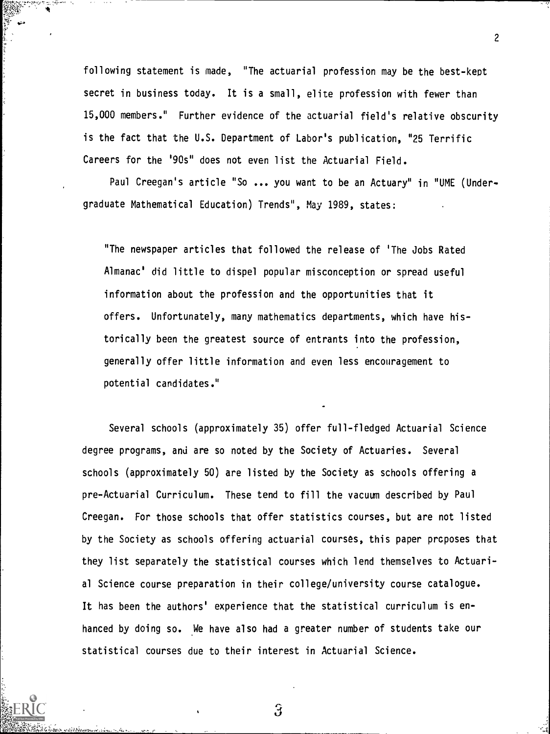following statement is made, "The actuarial profession may be the best-kept secret in business today. It is a small, elite profession with fewer than 15,000 members." Further evidence of the actuarial field's relative obscurity is the fact that the U.S. Department of Labor's publication, "25 Terrific Careers for the '90s" does not even list the Actuarial Field.

Paul Creegan's article "So ... you want to be an Actuary" in "UME (Undergraduate Mathematical Education) Trends", May 1989, states:

"The newspaper articles that followed the release of 'The Jobs Rated Almanac' did little to dispel popular misconception or spread useful information about the profession and the opportunities that it offers. Unfortunately, many mathematics departments, which have historically been the greatest source of entrants into the profession, generally offer little information and even less encouragement to potential candidates."

Several schools (approximately 35) offer full-fledged Actuarial Science degree programs, and are so noted by the Society of Actuaries. Several schools (approximately 50) are listed by the Society as schools offering a pre-Actuarial Curriculum. These tend to fill the vacuum described by Paul Creegan. For those schools that offer statistics courses, but are not listed by the Society as schools offering actuarial courses, this paper prcposes that they list separately the statistical courses which lend themselves to Actuarial Science course preparation in their college/university course catalogue. It has been the authors' experience that the statistical curriculum is enhanced by doing so. We have also had a greater number of students take our statistical courses due to their interest in Actuarial Science.

3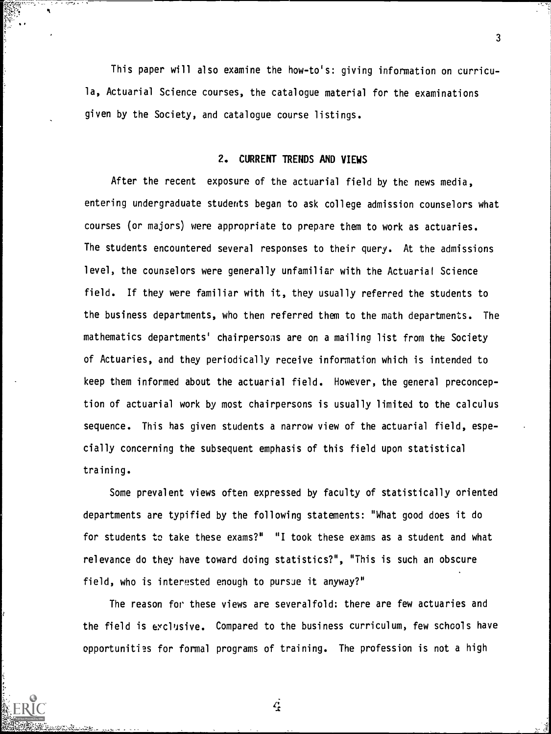This paper will also examine the how-to's: giving information on curricula, Actuarial Science courses, the catalogue material for the examinations given by the Society, and catalogue course listings.

3

## 2. CURRENT TRENDS AND VIEWS

After the recent exposure of the actuarial field by the news media, entering undergraduate students began to ask college admission counselors what courses (or majors) were appropriate to prepare them to work as actuaries. The students encountered several responses to their query. At the admissions level, the counselors were generally unfamiliar with the Actuarial Science field. If they were familiar with it, they usually referred the students to the business departments, who then referred them to the math departments. The mathematics departments' chairpersons are on a mailing list from the Society of Actuaries, and they periodically receive information which is intended to keep them informed about the actuarial field. However, the general preconception of actuarial work by most chairpersons is usually limited to the calculus sequence. This has given students a narrow view of the actuarial field, especially concerning the subsequent emphasis of this field upon statistical training.

Some prevalent views often expressed by faculty of statistically oriented departments are typified by the following statements: "What good does it do for students to take these exams?" "I took these exams as a student and what relevance do they have toward doing statistics?", "This is such an obscure field, who is interested enough to pursue it anyway?"

The reason for these views are severalfold: there are few actuaries and the field is eyclusive. Compared to the business curriculum, few schools have opportunities for formal programs of training. The profession is not a high

 $\mathcal{L}$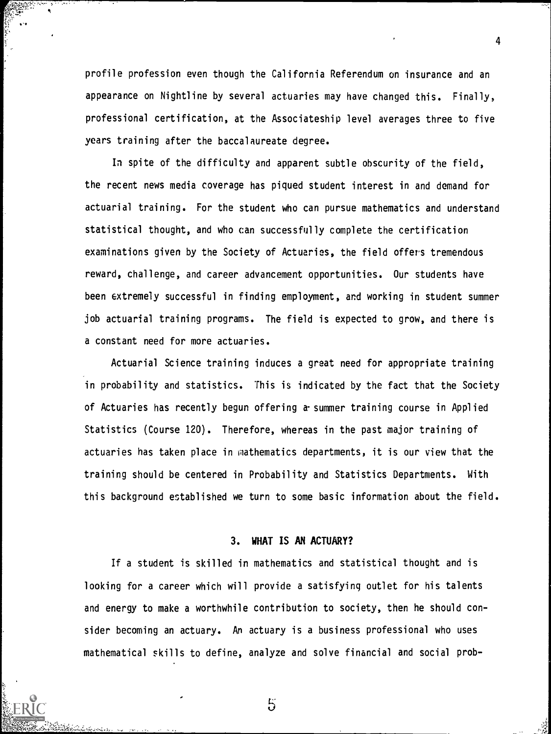profile profession even though the California Referendum on insurance and an appearance on Nightline by several actuaries may have changed this. Finally, professional certification, at the Associateship level averages three to five years training after the baccalaureate degree.

4

In spite of the difficulty and apparent subtle obscurity of the field, the recent news media coverage has piqued student interest in and demand for actuarial training. For the student who can pursue mathematics and understand statistical thought, and who can successfully complete the certification examinations given by the Society of Actuaries, the field offers tremendous reward, challenge, and career advancement opportunities. Our students have been extremely successful in finding employment, and working in student summer job actuarial training programs. The field is expected to grow, and there is a constant need for more actuaries.

Actuarial Science training induces a great need for appropriate training in probability and statistics. This is indicated by the fact that the Society of Actuaries has recently begun offering a-summer training course in Applied Statistics (Course 120). Therefore, whereas in the past major training of actuaries has taken place in mathematics departments, it is our view that the training should be centered in Probability and Statistics Departments. With this background established we turn to some basic information about the field.

## 3. WHAT IS AN ACTUARY?

If a student is skilled in mathematics and statistical thought and is looking for a career which will provide a satisfying outlet for his talents and energy to make a worthwhile contribution to society, then he should consider becoming an actuary. An actuary is a business professional who uses mathematical skills to define, analyze and solve financial and social prob-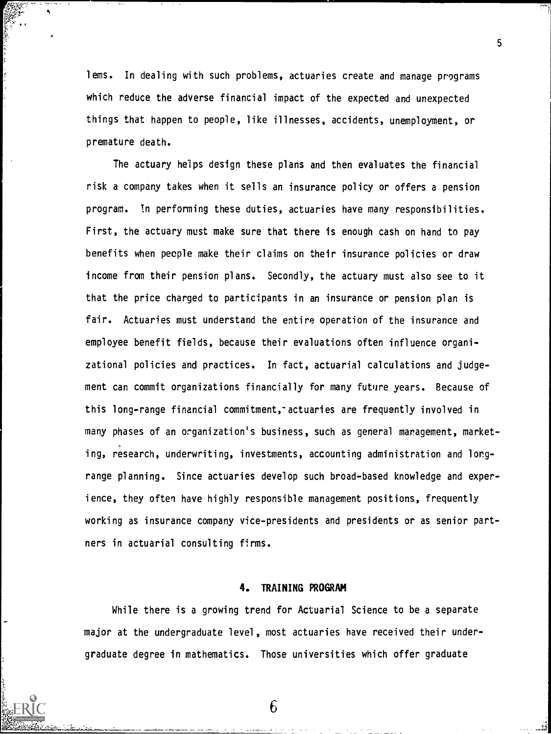lems. In dealing with such problems, actuaries create and manage programs which reduce the adverse financial impact of the expected and unexpected things that happen to people, like illnesses, accidents, unemployment, or premature death.

The actuary helps design these plans and then evaluates the financial risk a company takes when it sells an insurance policy or offers a pension program. In performing these duties, actuaries have many responsibilities. First, the actuary must make sure that there is enough cash on hand to pay benefits when people make their claims on their insurance policies or draw income from their pension plans. Secondly, the actuary must also see to it that the price charged to participants in an insurance or pension plan is fair. Actuaries must understand the entire operation of the insurance and employee benefit fields, because their evaluations often influence organizational policies and practices. In fact, actuarial calculations and judgement can commit organizations financially for many future years. Because of this long-range financial commitment, actuaries are frequently involved in many phases of an organization's business, such as general management, marketing, research, underwriting, investments, accounting administration and longrange planning. Since actuaries develop such broad-based knowledge and experience, they often have highly responsible management positions, frequently working as insurance company vice-presidents and presidents or as senior partners in actuarial consulting firms.

#### 4. TRAINING PROGRAM

While there is a growing trend for Actuarial Science to be a separate major at the undergraduate level, most actuaries have received their undergraduate degree in mathematics. Those universities which offer graduate

5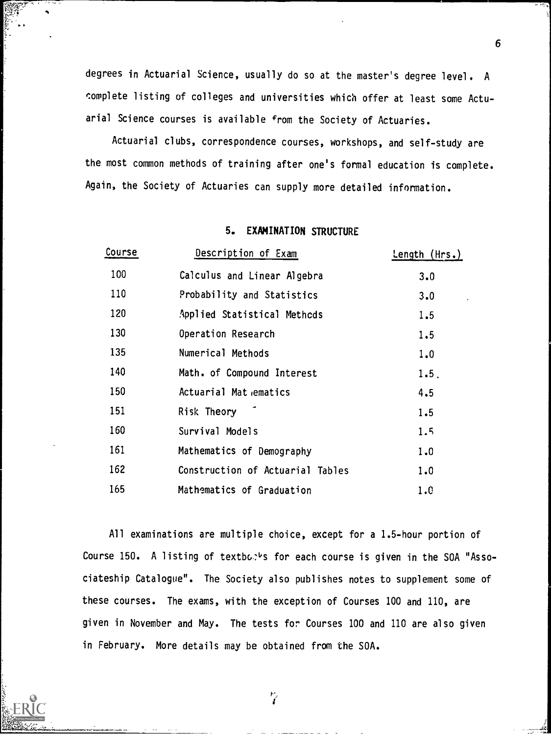degrees in Actuarial Science, usually do so at the master's degree level. A complete listing of colleges and universities which offer at least some Actuarial Science courses is available from the Society of Actuaries.

Actuarial clubs, correspondence courses, workshops, and self-study are the most common methods of training after one's formal education is complete. Again, the Society of Actuaries can supply more detailed information.

## 5. EXAMINATION STRUCTURE

| Course | Description of Exam              | Length $(Hrs.)$ |
|--------|----------------------------------|-----------------|
| 100    | Calculus and Linear Algebra      | 3.0             |
| 110    | Probability and Statistics       | 3.0             |
| 120    | Applied Statistical Methods      | 1.5             |
| 130    | Operation Research               | 1.5             |
| 135    | Numerical Methods                | 1.0             |
| 140    | Math. of Compound Interest       | 1.5.            |
| 150    | Actuarial Mat ematics            | 4.5             |
| 151    | Risk Theory                      | 1.5             |
| 160    | Survival Models                  | 1.5             |
| 161    | Mathematics of Demography        | 1.0             |
| 162    | Construction of Actuarial Tables | 1.0             |
| 165    | Mathematics of Graduation        | 1.0             |

All examinations are multiple choice, except for a 1.5-hour portion of Course 150. A listing of textbor's for each course is given in the SOA "Associateship Catalogue". The Society also publishes notes to supplement some of these courses. The exams, with the exception of Courses 100 and 110, are given in November and May. The tests for Courses 100 and 110 are also given in February. More details may be obtained from the SOA.

6

 $\frac{P}{2}$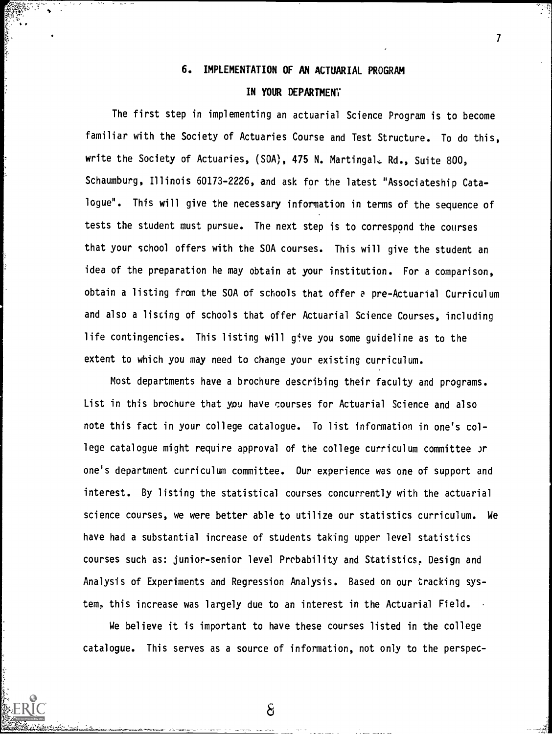## 6. IMPLEMENTATION OF AM ACTUARIAL PROGRAM

 $\overline{7}$ 

## IN YOUR DEPARTMENT

The first step in implementing an actuarial Science Program is to become familiar with the Society of Actuaries Course and Test Structure. To do this, write the Society of Actuaries, (SOA), 475 N. Martingal. Rd., Suite 800, Schaumburg, Illinois 60173-2226, and ask for the latest "Associateship Catalogue". This will give the necessary information in terms of the sequence of tests the student must pursue. The next step is to correspond the courses that your school offers with the SOA courses. This will give the student an idea of the preparation he may obtain at your institution. For a comparison, obtain a listing from the SOA of schools that offer a pre-Actuarial Curriculum and also a listing of schools that offer Actuarial Science Courses, including life contingencies. This listing will give you some guideline as to the extent to which you may need to change your existing curriculum.

Most departments have a brochure describing their faculty and programs. List in this brochure that you have courses for Actuarial Science and also note this fact in your college catalogue. To list information in one's college catalogue might require approval of the college curriculum committee Jr one's department curriculum committee. Our experience was one of support and interest. By listing the statistical courses concurrently with the actuarial science courses, we were better able to utilize our statistics curriculum. We have had a substantial increase of students taking upper level statistics courses such as: junior-senior level Probability and Statistics, Design and Analysis of Experiments and Regression Analysis. Based on our tracking system, this increase was largely due to an interest in the Actuarial Field.

We believe it is important to have these courses listed in the college catalogue. This serves as a source of information, not only to the perspec-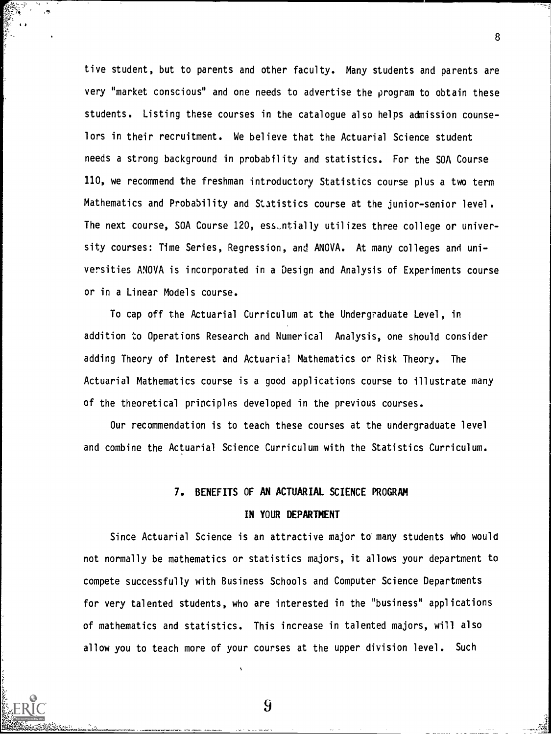tive student, but to parents and other faculty. Many students and parents are very "market conscious" and one needs to advertise the program to obtain these students. Listing these courses in the catalogue also helps admission counselors in their recruitment. We believe that the Actuarial Science student needs a strong background in probability and statistics. For the SOA Course 110, we recommend the freshman introductory Statistics course plus a two term Mathematics and Probability and Statistics course at the junior-senior level. The next course, SOA Course 120, ess\_ntially utilizes three college or university courses: Time Series, Regression, and ANOVA. At many colleges and universities ANOVA is incorporated in a Design and Analysis of Experiments course or in a Linear Models course.

To cap off the Actuarial Curriculum at the Undergraduate Level, in addition to Operations Research and Numerical Analysis, one should consider adding Theory of Interest and Actuarial Mathematics or Risk Theory. The Actuarial Mathematics course is a good applications course to illustrate many of the theoretical principles developed in the previous courses.

Our recommendation is to teach these courses at the undergraduate level and combine the Actuarial Science Curriculum with the Statistics Curriculum.

## 7. BENEFITS OF AN ACTUARIAL SCIENCE PROGRAM

#### IN YOUR DEPARTMENT

Since Actuarial Science is an attractive major to many students who would not normally be mathematics or statistics majors, it allows your department to compete successfully with Business Schools and Computer Science Departments for very talented students, who are interested in the "business" applications of mathematics and statistics. This increase in talented majors, will also allow you to teach more of your courses at the upper division level. Such

8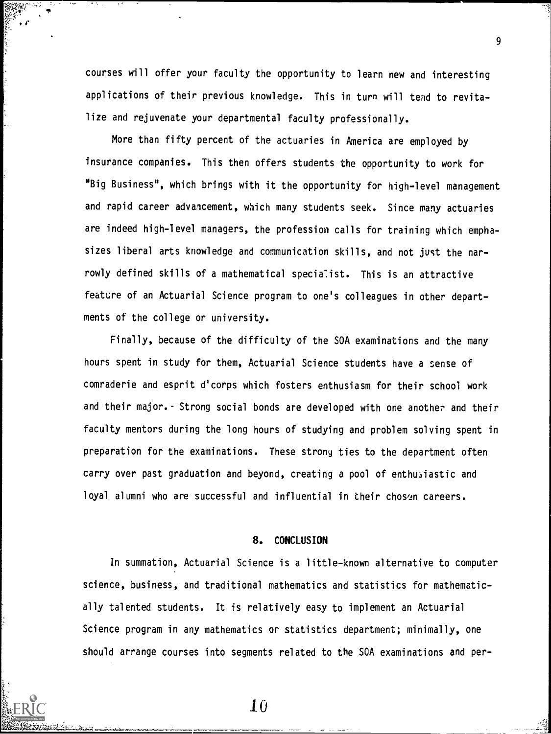courses will offer your faculty the opportunity to learn new and interesting applications of their previous knowledge. This in turn will tend to revitalize and rejuvenate your departmental faculty professionally.

More than fifty percent of the actuaries in America are employed by insurance companies. This then offers students the opportunity to work for "Big Business", which brings with it the opportunity for high-level management and rapid career advancement, which many students seek. Since many actuaries are indeed high-level managers, the profession calls for training which emphasizes liberal arts knowledge and communication skills, and not just the nar rowly defined skills of a mathematical specialist. This is an attractive feature of an Actuarial Science program to one's colleagues in other departments of the college or university.

Finally, because of the difficulty of the SOA examinations and the many hours spent in study for them, Actuarial Science students have a sense of comraderie and esprit d'corps which fosters enthusiasm for their school work and their major. - Strong social bonds are developed with one another and their faculty mentors during the long hours of studying and problem solving spent in preparation for the examinations. These strony ties to the department often carry over past graduation and beyond, creating a pool of enthusiastic and loyal alumni who are successful and influential in their chosen careers.

## 8. CONCLUSION

In summation, Actuarial Science is a little-known alternative to computer science, business, and traditional mathematics and statistics for mathematically talented students. It is relatively easy to implement an Actuarial Science program in any mathematics or statistics department; minimally, one should arrange courses into segments related to the SOA examinations and per-

10